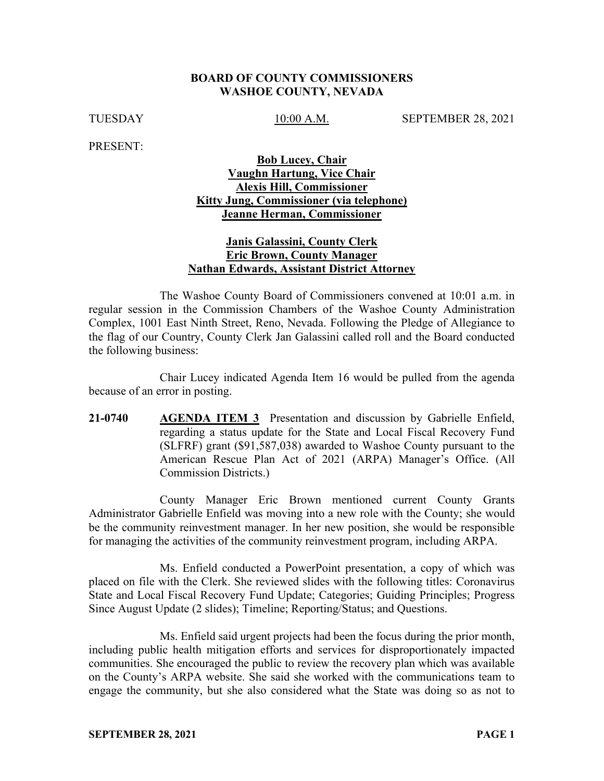#### **BOARD OF COUNTY COMMISSIONERS WASHOE COUNTY, NEVADA**

TUESDAY 10:00 A.M. SEPTEMBER 28, 2021

PRESENT:

### **Bob Lucey, Chair Vaughn Hartung, Vice Chair Alexis Hill, Commissioner Kitty Jung, Commissioner (via telephone) Jeanne Herman, Commissioner**

### **Janis Galassini, County Clerk Eric Brown, County Manager Nathan Edwards, Assistant District Attorney**

The Washoe County Board of Commissioners convened at 10:01 a.m. in regular session in the Commission Chambers of the Washoe County Administration Complex, 1001 East Ninth Street, Reno, Nevada. Following the Pledge of Allegiance to the flag of our Country, County Clerk Jan Galassini called roll and the Board conducted the following business:

Chair Lucey indicated Agenda Item 16 would be pulled from the agenda because of an error in posting.

**21-0740 AGENDA ITEM 3** Presentation and discussion by Gabrielle Enfield, regarding a status update for the State and Local Fiscal Recovery Fund (SLFRF) grant (\$91,587,038) awarded to Washoe County pursuant to the American Rescue Plan Act of 2021 (ARPA) Manager's Office. (All Commission Districts.)

County Manager Eric Brown mentioned current County Grants Administrator Gabrielle Enfield was moving into a new role with the County; she would be the community reinvestment manager. In her new position, she would be responsible for managing the activities of the community reinvestment program, including ARPA.

Ms. Enfield conducted a PowerPoint presentation, a copy of which was placed on file with the Clerk. She reviewed slides with the following titles: Coronavirus State and Local Fiscal Recovery Fund Update; Categories; Guiding Principles; Progress Since August Update (2 slides); Timeline; Reporting/Status; and Questions.

Ms. Enfield said urgent projects had been the focus during the prior month, including public health mitigation efforts and services for disproportionately impacted communities. She encouraged the public to review the recovery plan which was available on the County's ARPA website. She said she worked with the communications team to engage the community, but she also considered what the State was doing so as not to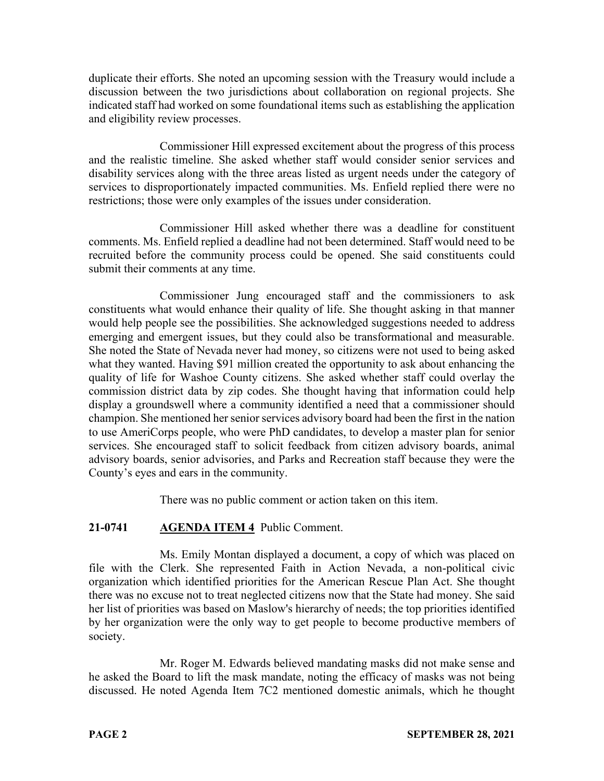duplicate their efforts. She noted an upcoming session with the Treasury would include a discussion between the two jurisdictions about collaboration on regional projects. She indicated staff had worked on some foundational items such as establishing the application and eligibility review processes.

Commissioner Hill expressed excitement about the progress of this process and the realistic timeline. She asked whether staff would consider senior services and disability services along with the three areas listed as urgent needs under the category of services to disproportionately impacted communities. Ms. Enfield replied there were no restrictions; those were only examples of the issues under consideration.

Commissioner Hill asked whether there was a deadline for constituent comments. Ms. Enfield replied a deadline had not been determined. Staff would need to be recruited before the community process could be opened. She said constituents could submit their comments at any time.

Commissioner Jung encouraged staff and the commissioners to ask constituents what would enhance their quality of life. She thought asking in that manner would help people see the possibilities. She acknowledged suggestions needed to address emerging and emergent issues, but they could also be transformational and measurable. She noted the State of Nevada never had money, so citizens were not used to being asked what they wanted. Having \$91 million created the opportunity to ask about enhancing the quality of life for Washoe County citizens. She asked whether staff could overlay the commission district data by zip codes. She thought having that information could help display a groundswell where a community identified a need that a commissioner should champion. She mentioned her senior services advisory board had been the first in the nation to use AmeriCorps people, who were PhD candidates, to develop a master plan for senior services. She encouraged staff to solicit feedback from citizen advisory boards, animal advisory boards, senior advisories, and Parks and Recreation staff because they were the County's eyes and ears in the community.

There was no public comment or action taken on this item.

# **21-0741 AGENDA ITEM 4** Public Comment.

Ms. Emily Montan displayed a document, a copy of which was placed on file with the Clerk. She represented Faith in Action Nevada, a non-political civic organization which identified priorities for the American Rescue Plan Act. She thought there was no excuse not to treat neglected citizens now that the State had money. She said her list of priorities was based on Maslow's hierarchy of needs; the top priorities identified by her organization were the only way to get people to become productive members of society.

Mr. Roger M. Edwards believed mandating masks did not make sense and he asked the Board to lift the mask mandate, noting the efficacy of masks was not being discussed. He noted Agenda Item 7C2 mentioned domestic animals, which he thought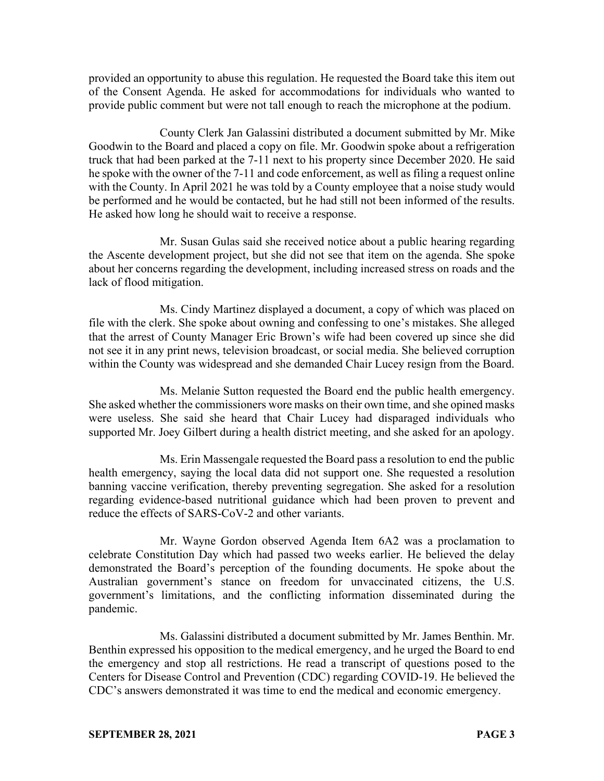provided an opportunity to abuse this regulation. He requested the Board take this item out of the Consent Agenda. He asked for accommodations for individuals who wanted to provide public comment but were not tall enough to reach the microphone at the podium.

County Clerk Jan Galassini distributed a document submitted by Mr. Mike Goodwin to the Board and placed a copy on file. Mr. Goodwin spoke about a refrigeration truck that had been parked at the 7-11 next to his property since December 2020. He said he spoke with the owner of the 7-11 and code enforcement, as well as filing a request online with the County. In April 2021 he was told by a County employee that a noise study would be performed and he would be contacted, but he had still not been informed of the results. He asked how long he should wait to receive a response.

Mr. Susan Gulas said she received notice about a public hearing regarding the Ascente development project, but she did not see that item on the agenda. She spoke about her concerns regarding the development, including increased stress on roads and the lack of flood mitigation.

Ms. Cindy Martinez displayed a document, a copy of which was placed on file with the clerk. She spoke about owning and confessing to one's mistakes. She alleged that the arrest of County Manager Eric Brown's wife had been covered up since she did not see it in any print news, television broadcast, or social media. She believed corruption within the County was widespread and she demanded Chair Lucey resign from the Board.

Ms. Melanie Sutton requested the Board end the public health emergency. She asked whether the commissioners wore masks on their own time, and she opined masks were useless. She said she heard that Chair Lucey had disparaged individuals who supported Mr. Joey Gilbert during a health district meeting, and she asked for an apology.

Ms. Erin Massengale requested the Board pass a resolution to end the public health emergency, saying the local data did not support one. She requested a resolution banning vaccine verification, thereby preventing segregation. She asked for a resolution regarding evidence-based nutritional guidance which had been proven to prevent and reduce the effects of SARS-CoV-2 and other variants.

Mr. Wayne Gordon observed Agenda Item 6A2 was a proclamation to celebrate Constitution Day which had passed two weeks earlier. He believed the delay demonstrated the Board's perception of the founding documents. He spoke about the Australian government's stance on freedom for unvaccinated citizens, the U.S. government's limitations, and the conflicting information disseminated during the pandemic.

Ms. Galassini distributed a document submitted by Mr. James Benthin. Mr. Benthin expressed his opposition to the medical emergency, and he urged the Board to end the emergency and stop all restrictions. He read a transcript of questions posed to the Centers for Disease Control and Prevention (CDC) regarding COVID-19. He believed the CDC's answers demonstrated it was time to end the medical and economic emergency.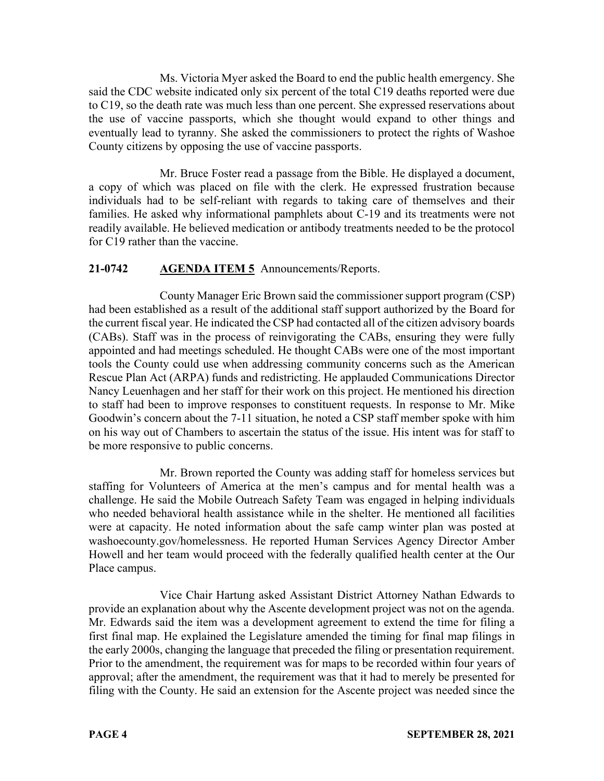Ms. Victoria Myer asked the Board to end the public health emergency. She said the CDC website indicated only six percent of the total C19 deaths reported were due to C19, so the death rate was much less than one percent. She expressed reservations about the use of vaccine passports, which she thought would expand to other things and eventually lead to tyranny. She asked the commissioners to protect the rights of Washoe County citizens by opposing the use of vaccine passports.

Mr. Bruce Foster read a passage from the Bible. He displayed a document, a copy of which was placed on file with the clerk. He expressed frustration because individuals had to be self-reliant with regards to taking care of themselves and their families. He asked why informational pamphlets about C-19 and its treatments were not readily available. He believed medication or antibody treatments needed to be the protocol for C19 rather than the vaccine.

# **21-0742 AGENDA ITEM 5** Announcements/Reports.

County Manager Eric Brown said the commissioner support program (CSP) had been established as a result of the additional staff support authorized by the Board for the current fiscal year. He indicated the CSP had contacted all of the citizen advisory boards (CABs). Staff was in the process of reinvigorating the CABs, ensuring they were fully appointed and had meetings scheduled. He thought CABs were one of the most important tools the County could use when addressing community concerns such as the American Rescue Plan Act (ARPA) funds and redistricting. He applauded Communications Director Nancy Leuenhagen and her staff for their work on this project. He mentioned his direction to staff had been to improve responses to constituent requests. In response to Mr. Mike Goodwin's concern about the 7-11 situation, he noted a CSP staff member spoke with him on his way out of Chambers to ascertain the status of the issue. His intent was for staff to be more responsive to public concerns.

Mr. Brown reported the County was adding staff for homeless services but staffing for Volunteers of America at the men's campus and for mental health was a challenge. He said the Mobile Outreach Safety Team was engaged in helping individuals who needed behavioral health assistance while in the shelter. He mentioned all facilities were at capacity. He noted information about the safe camp winter plan was posted at washoecounty.gov/homelessness. He reported Human Services Agency Director Amber Howell and her team would proceed with the federally qualified health center at the Our Place campus.

Vice Chair Hartung asked Assistant District Attorney Nathan Edwards to provide an explanation about why the Ascente development project was not on the agenda. Mr. Edwards said the item was a development agreement to extend the time for filing a first final map. He explained the Legislature amended the timing for final map filings in the early 2000s, changing the language that preceded the filing or presentation requirement. Prior to the amendment, the requirement was for maps to be recorded within four years of approval; after the amendment, the requirement was that it had to merely be presented for filing with the County. He said an extension for the Ascente project was needed since the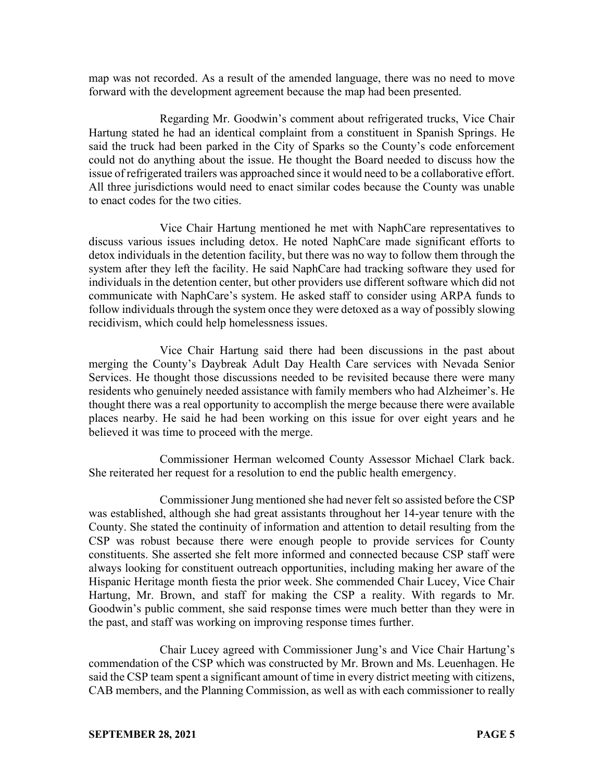map was not recorded. As a result of the amended language, there was no need to move forward with the development agreement because the map had been presented.

Regarding Mr. Goodwin's comment about refrigerated trucks, Vice Chair Hartung stated he had an identical complaint from a constituent in Spanish Springs. He said the truck had been parked in the City of Sparks so the County's code enforcement could not do anything about the issue. He thought the Board needed to discuss how the issue of refrigerated trailers was approached since it would need to be a collaborative effort. All three jurisdictions would need to enact similar codes because the County was unable to enact codes for the two cities.

Vice Chair Hartung mentioned he met with NaphCare representatives to discuss various issues including detox. He noted NaphCare made significant efforts to detox individuals in the detention facility, but there was no way to follow them through the system after they left the facility. He said NaphCare had tracking software they used for individuals in the detention center, but other providers use different software which did not communicate with NaphCare's system. He asked staff to consider using ARPA funds to follow individuals through the system once they were detoxed as a way of possibly slowing recidivism, which could help homelessness issues.

Vice Chair Hartung said there had been discussions in the past about merging the County's Daybreak Adult Day Health Care services with Nevada Senior Services. He thought those discussions needed to be revisited because there were many residents who genuinely needed assistance with family members who had Alzheimer's. He thought there was a real opportunity to accomplish the merge because there were available places nearby. He said he had been working on this issue for over eight years and he believed it was time to proceed with the merge.

Commissioner Herman welcomed County Assessor Michael Clark back. She reiterated her request for a resolution to end the public health emergency.

Commissioner Jung mentioned she had never felt so assisted before the CSP was established, although she had great assistants throughout her 14-year tenure with the County. She stated the continuity of information and attention to detail resulting from the CSP was robust because there were enough people to provide services for County constituents. She asserted she felt more informed and connected because CSP staff were always looking for constituent outreach opportunities, including making her aware of the Hispanic Heritage month fiesta the prior week. She commended Chair Lucey, Vice Chair Hartung, Mr. Brown, and staff for making the CSP a reality. With regards to Mr. Goodwin's public comment, she said response times were much better than they were in the past, and staff was working on improving response times further.

Chair Lucey agreed with Commissioner Jung's and Vice Chair Hartung's commendation of the CSP which was constructed by Mr. Brown and Ms. Leuenhagen. He said the CSP team spent a significant amount of time in every district meeting with citizens, CAB members, and the Planning Commission, as well as with each commissioner to really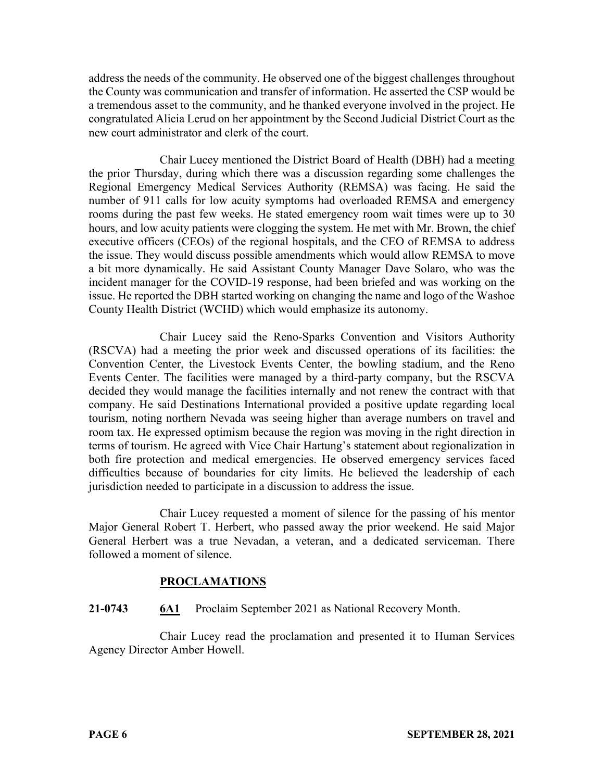address the needs of the community. He observed one of the biggest challenges throughout the County was communication and transfer of information. He asserted the CSP would be a tremendous asset to the community, and he thanked everyone involved in the project. He congratulated Alicia Lerud on her appointment by the Second Judicial District Court as the new court administrator and clerk of the court.

Chair Lucey mentioned the District Board of Health (DBH) had a meeting the prior Thursday, during which there was a discussion regarding some challenges the Regional Emergency Medical Services Authority (REMSA) was facing. He said the number of 911 calls for low acuity symptoms had overloaded REMSA and emergency rooms during the past few weeks. He stated emergency room wait times were up to 30 hours, and low acuity patients were clogging the system. He met with Mr. Brown, the chief executive officers (CEOs) of the regional hospitals, and the CEO of REMSA to address the issue. They would discuss possible amendments which would allow REMSA to move a bit more dynamically. He said Assistant County Manager Dave Solaro, who was the incident manager for the COVID-19 response, had been briefed and was working on the issue. He reported the DBH started working on changing the name and logo of the Washoe County Health District (WCHD) which would emphasize its autonomy.

Chair Lucey said the Reno-Sparks Convention and Visitors Authority (RSCVA) had a meeting the prior week and discussed operations of its facilities: the Convention Center, the Livestock Events Center, the bowling stadium, and the Reno Events Center. The facilities were managed by a third-party company, but the RSCVA decided they would manage the facilities internally and not renew the contract with that company. He said Destinations International provided a positive update regarding local tourism, noting northern Nevada was seeing higher than average numbers on travel and room tax. He expressed optimism because the region was moving in the right direction in terms of tourism. He agreed with Vice Chair Hartung's statement about regionalization in both fire protection and medical emergencies. He observed emergency services faced difficulties because of boundaries for city limits. He believed the leadership of each jurisdiction needed to participate in a discussion to address the issue.

Chair Lucey requested a moment of silence for the passing of his mentor Major General Robert T. Herbert, who passed away the prior weekend. He said Major General Herbert was a true Nevadan, a veteran, and a dedicated serviceman. There followed a moment of silence.

### **PROCLAMATIONS**

### **21-0743 6A1** Proclaim September 2021 as National Recovery Month.

Chair Lucey read the proclamation and presented it to Human Services Agency Director Amber Howell.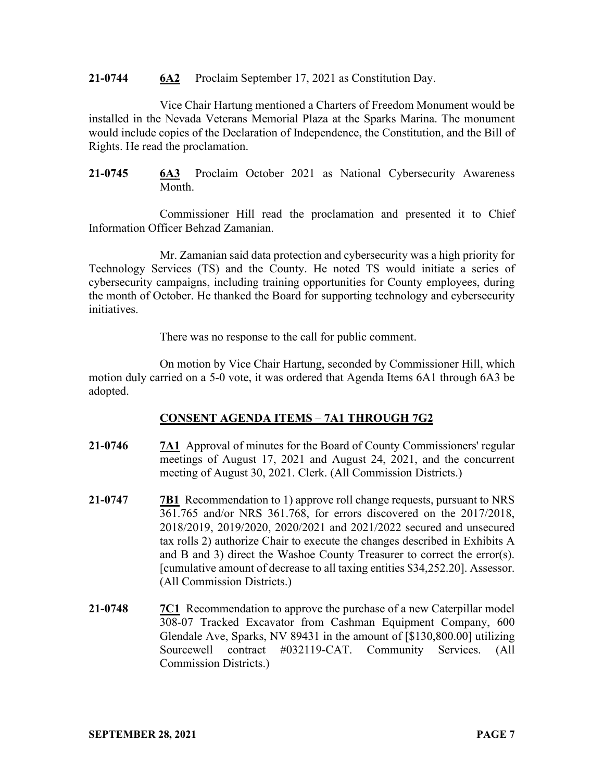#### **21-0744 6A2** Proclaim September 17, 2021 as Constitution Day.

Vice Chair Hartung mentioned a Charters of Freedom Monument would be installed in the Nevada Veterans Memorial Plaza at the Sparks Marina. The monument would include copies of the Declaration of Independence, the Constitution, and the Bill of Rights. He read the proclamation.

**21-0745 6A3** Proclaim October 2021 as National Cybersecurity Awareness Month.

Commissioner Hill read the proclamation and presented it to Chief Information Officer Behzad Zamanian.

Mr. Zamanian said data protection and cybersecurity was a high priority for Technology Services (TS) and the County. He noted TS would initiate a series of cybersecurity campaigns, including training opportunities for County employees, during the month of October. He thanked the Board for supporting technology and cybersecurity initiatives.

There was no response to the call for public comment.

On motion by Vice Chair Hartung, seconded by Commissioner Hill, which motion duly carried on a 5-0 vote, it was ordered that Agenda Items 6A1 through 6A3 be adopted.

# **CONSENT AGENDA ITEMS** – **7A1 THROUGH 7G2**

- **21-0746 7A1** Approval of minutes for the Board of County Commissioners' regular meetings of August 17, 2021 and August 24, 2021, and the concurrent meeting of August 30, 2021. Clerk. (All Commission Districts.)
- **21-0747 7B1** Recommendation to 1) approve roll change requests, pursuant to NRS 361.765 and/or NRS 361.768, for errors discovered on the 2017/2018, 2018/2019, 2019/2020, 2020/2021 and 2021/2022 secured and unsecured tax rolls 2) authorize Chair to execute the changes described in Exhibits A and B and 3) direct the Washoe County Treasurer to correct the error(s). [cumulative amount of decrease to all taxing entities \$34,252.20]. Assessor. (All Commission Districts.)
- **21-0748 7C1** Recommendation to approve the purchase of a new Caterpillar model 308-07 Tracked Excavator from Cashman Equipment Company, 600 Glendale Ave, Sparks, NV 89431 in the amount of [\$130,800.00] utilizing Sourcewell contract #032119-CAT. Community Services. (All Commission Districts.)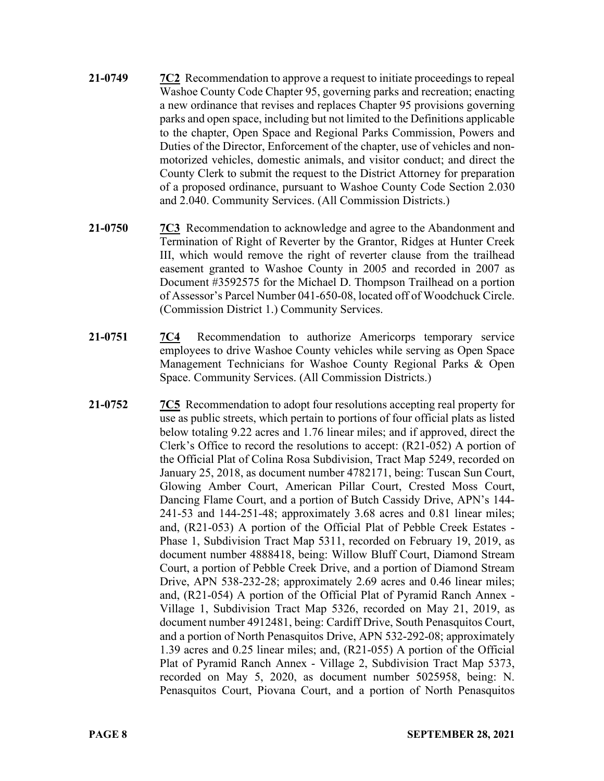- **21-0749 7C2** Recommendation to approve a request to initiate proceedings to repeal Washoe County Code Chapter 95, governing parks and recreation; enacting a new ordinance that revises and replaces Chapter 95 provisions governing parks and open space, including but not limited to the Definitions applicable to the chapter, Open Space and Regional Parks Commission, Powers and Duties of the Director, Enforcement of the chapter, use of vehicles and nonmotorized vehicles, domestic animals, and visitor conduct; and direct the County Clerk to submit the request to the District Attorney for preparation of a proposed ordinance, pursuant to Washoe County Code Section 2.030 and 2.040. Community Services. (All Commission Districts.)
- **21-0750 7C3** Recommendation to acknowledge and agree to the Abandonment and Termination of Right of Reverter by the Grantor, Ridges at Hunter Creek III, which would remove the right of reverter clause from the trailhead easement granted to Washoe County in 2005 and recorded in 2007 as Document #3592575 for the Michael D. Thompson Trailhead on a portion of Assessor's Parcel Number 041-650-08, located off of Woodchuck Circle. (Commission District 1.) Community Services.
- **21-0751 7C4** Recommendation to authorize Americorps temporary service employees to drive Washoe County vehicles while serving as Open Space Management Technicians for Washoe County Regional Parks & Open Space. Community Services. (All Commission Districts.)
- **21-0752 7C5** Recommendation to adopt four resolutions accepting real property for use as public streets, which pertain to portions of four official plats as listed below totaling 9.22 acres and 1.76 linear miles; and if approved, direct the Clerk's Office to record the resolutions to accept: (R21-052) A portion of the Official Plat of Colina Rosa Subdivision, Tract Map 5249, recorded on January 25, 2018, as document number 4782171, being: Tuscan Sun Court, Glowing Amber Court, American Pillar Court, Crested Moss Court, Dancing Flame Court, and a portion of Butch Cassidy Drive, APN's 144- 241-53 and 144-251-48; approximately 3.68 acres and 0.81 linear miles; and, (R21-053) A portion of the Official Plat of Pebble Creek Estates - Phase 1, Subdivision Tract Map 5311, recorded on February 19, 2019, as document number 4888418, being: Willow Bluff Court, Diamond Stream Court, a portion of Pebble Creek Drive, and a portion of Diamond Stream Drive, APN 538-232-28; approximately 2.69 acres and 0.46 linear miles; and, (R21-054) A portion of the Official Plat of Pyramid Ranch Annex - Village 1, Subdivision Tract Map 5326, recorded on May 21, 2019, as document number 4912481, being: Cardiff Drive, South Penasquitos Court, and a portion of North Penasquitos Drive, APN 532-292-08; approximately 1.39 acres and 0.25 linear miles; and, (R21-055) A portion of the Official Plat of Pyramid Ranch Annex - Village 2, Subdivision Tract Map 5373, recorded on May 5, 2020, as document number 5025958, being: N. Penasquitos Court, Piovana Court, and a portion of North Penasquitos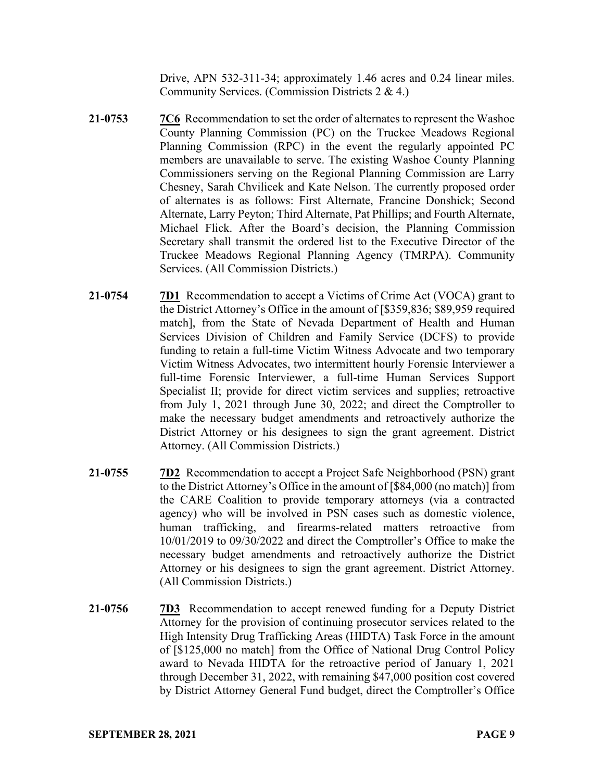Drive, APN 532-311-34; approximately 1.46 acres and 0.24 linear miles. Community Services. (Commission Districts 2 & 4.)

- **21-0753 7C6** Recommendation to set the order of alternates to represent the Washoe County Planning Commission (PC) on the Truckee Meadows Regional Planning Commission (RPC) in the event the regularly appointed PC members are unavailable to serve. The existing Washoe County Planning Commissioners serving on the Regional Planning Commission are Larry Chesney, Sarah Chvilicek and Kate Nelson. The currently proposed order of alternates is as follows: First Alternate, Francine Donshick; Second Alternate, Larry Peyton; Third Alternate, Pat Phillips; and Fourth Alternate, Michael Flick. After the Board's decision, the Planning Commission Secretary shall transmit the ordered list to the Executive Director of the Truckee Meadows Regional Planning Agency (TMRPA). Community Services. (All Commission Districts.)
- **21-0754 7D1** Recommendation to accept a Victims of Crime Act (VOCA) grant to the District Attorney's Office in the amount of [\$359,836; \$89,959 required match], from the State of Nevada Department of Health and Human Services Division of Children and Family Service (DCFS) to provide funding to retain a full-time Victim Witness Advocate and two temporary Victim Witness Advocates, two intermittent hourly Forensic Interviewer a full-time Forensic Interviewer, a full-time Human Services Support Specialist II; provide for direct victim services and supplies; retroactive from July 1, 2021 through June 30, 2022; and direct the Comptroller to make the necessary budget amendments and retroactively authorize the District Attorney or his designees to sign the grant agreement. District Attorney. (All Commission Districts.)
- **21-0755 7D2** Recommendation to accept a Project Safe Neighborhood (PSN) grant to the District Attorney's Office in the amount of [\$84,000 (no match)] from the CARE Coalition to provide temporary attorneys (via a contracted agency) who will be involved in PSN cases such as domestic violence, human trafficking, and firearms-related matters retroactive from 10/01/2019 to 09/30/2022 and direct the Comptroller's Office to make the necessary budget amendments and retroactively authorize the District Attorney or his designees to sign the grant agreement. District Attorney. (All Commission Districts.)
- **21-0756 7D3** Recommendation to accept renewed funding for a Deputy District Attorney for the provision of continuing prosecutor services related to the High Intensity Drug Trafficking Areas (HIDTA) Task Force in the amount of [\$125,000 no match] from the Office of National Drug Control Policy award to Nevada HIDTA for the retroactive period of January 1, 2021 through December 31, 2022, with remaining \$47,000 position cost covered by District Attorney General Fund budget, direct the Comptroller's Office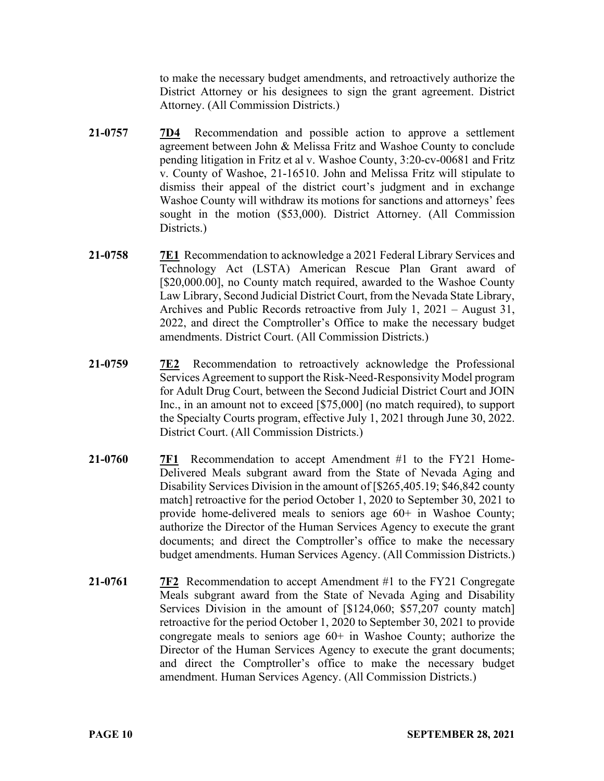to make the necessary budget amendments, and retroactively authorize the District Attorney or his designees to sign the grant agreement. District Attorney. (All Commission Districts.)

- **21-0757 7D4** Recommendation and possible action to approve a settlement agreement between John & Melissa Fritz and Washoe County to conclude pending litigation in Fritz et al v. Washoe County, 3:20-cv-00681 and Fritz v. County of Washoe, 21-16510. John and Melissa Fritz will stipulate to dismiss their appeal of the district court's judgment and in exchange Washoe County will withdraw its motions for sanctions and attorneys' fees sought in the motion (\$53,000). District Attorney. (All Commission Districts.)
- **21-0758 7E1** Recommendation to acknowledge a 2021 Federal Library Services and Technology Act (LSTA) American Rescue Plan Grant award of [\$20,000.00], no County match required, awarded to the Washoe County Law Library, Second Judicial District Court, from the Nevada State Library, Archives and Public Records retroactive from July 1, 2021 – August 31, 2022, and direct the Comptroller's Office to make the necessary budget amendments. District Court. (All Commission Districts.)
- **21-0759 7E2** Recommendation to retroactively acknowledge the Professional Services Agreement to support the Risk-Need-Responsivity Model program for Adult Drug Court, between the Second Judicial District Court and JOIN Inc., in an amount not to exceed [\$75,000] (no match required), to support the Specialty Courts program, effective July 1, 2021 through June 30, 2022. District Court. (All Commission Districts.)
- **21-0760 7F1** Recommendation to accept Amendment #1 to the FY21 Home-Delivered Meals subgrant award from the State of Nevada Aging and Disability Services Division in the amount of [\$265,405.19; \$46,842 county match] retroactive for the period October 1, 2020 to September 30, 2021 to provide home-delivered meals to seniors age 60+ in Washoe County; authorize the Director of the Human Services Agency to execute the grant documents; and direct the Comptroller's office to make the necessary budget amendments. Human Services Agency. (All Commission Districts.)
- **21-0761 7F2** Recommendation to accept Amendment #1 to the FY21 Congregate Meals subgrant award from the State of Nevada Aging and Disability Services Division in the amount of [\$124,060; \$57,207 county match] retroactive for the period October 1, 2020 to September 30, 2021 to provide congregate meals to seniors age  $60+$  in Washoe County; authorize the Director of the Human Services Agency to execute the grant documents; and direct the Comptroller's office to make the necessary budget amendment. Human Services Agency. (All Commission Districts.)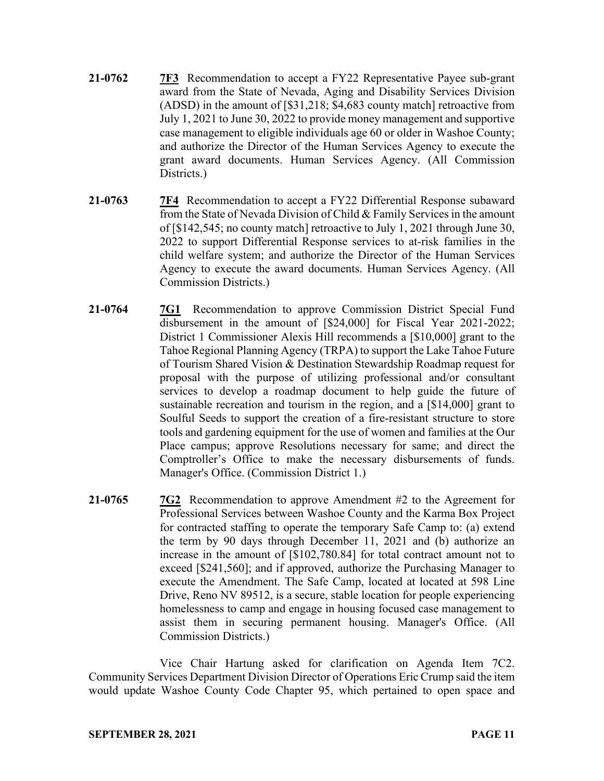- **21-0762 7F3** Recommendation to accept a FY22 Representative Payee sub-grant award from the State of Nevada, Aging and Disability Services Division (ADSD) in the amount of [\$31,218; \$4,683 county match] retroactive from July 1, 2021 to June 30, 2022 to provide money management and supportive case management to eligible individuals age 60 or older in Washoe County; and authorize the Director of the Human Services Agency to execute the grant award documents. Human Services Agency. (All Commission Districts.)
- **21-0763 7F4** Recommendation to accept a FY22 Differential Response subaward from the State of Nevada Division of Child & Family Services in the amount of [\$142,545; no county match] retroactive to July 1, 2021 through June 30, 2022 to support Differential Response services to at-risk families in the child welfare system; and authorize the Director of the Human Services Agency to execute the award documents. Human Services Agency. (All Commission Districts.)
- **21-0764 7G1** Recommendation to approve Commission District Special Fund disbursement in the amount of [\$24,000] for Fiscal Year 2021-2022; District 1 Commissioner Alexis Hill recommends a [\$10,000] grant to the Tahoe Regional Planning Agency (TRPA) to support the Lake Tahoe Future of Tourism Shared Vision & Destination Stewardship Roadmap request for proposal with the purpose of utilizing professional and/or consultant services to develop a roadmap document to help guide the future of sustainable recreation and tourism in the region, and a [\$14,000] grant to Soulful Seeds to support the creation of a fire-resistant structure to store tools and gardening equipment for the use of women and families at the Our Place campus; approve Resolutions necessary for same; and direct the Comptroller's Office to make the necessary disbursements of funds. Manager's Office. (Commission District 1.)
- **21-0765 7G2** Recommendation to approve Amendment #2 to the Agreement for Professional Services between Washoe County and the Karma Box Project for contracted staffing to operate the temporary Safe Camp to: (a) extend the term by 90 days through December 11, 2021 and (b) authorize an increase in the amount of [\$102,780.84] for total contract amount not to exceed [\$241,560]; and if approved, authorize the Purchasing Manager to execute the Amendment. The Safe Camp, located at located at 598 Line Drive, Reno NV 89512, is a secure, stable location for people experiencing homelessness to camp and engage in housing focused case management to assist them in securing permanent housing. Manager's Office. (All Commission Districts.)

Vice Chair Hartung asked for clarification on Agenda Item 7C2. Community Services Department Division Director of Operations Eric Crump said the item would update Washoe County Code Chapter 95, which pertained to open space and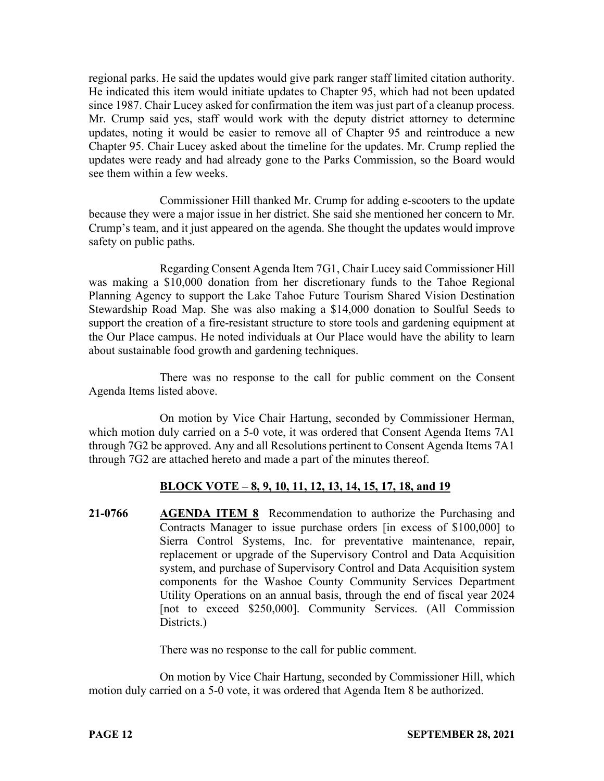regional parks. He said the updates would give park ranger staff limited citation authority. He indicated this item would initiate updates to Chapter 95, which had not been updated since 1987. Chair Lucey asked for confirmation the item was just part of a cleanup process. Mr. Crump said yes, staff would work with the deputy district attorney to determine updates, noting it would be easier to remove all of Chapter 95 and reintroduce a new Chapter 95. Chair Lucey asked about the timeline for the updates. Mr. Crump replied the updates were ready and had already gone to the Parks Commission, so the Board would see them within a few weeks.

Commissioner Hill thanked Mr. Crump for adding e-scooters to the update because they were a major issue in her district. She said she mentioned her concern to Mr. Crump's team, and it just appeared on the agenda. She thought the updates would improve safety on public paths.

Regarding Consent Agenda Item 7G1, Chair Lucey said Commissioner Hill was making a \$10,000 donation from her discretionary funds to the Tahoe Regional Planning Agency to support the Lake Tahoe Future Tourism Shared Vision Destination Stewardship Road Map. She was also making a \$14,000 donation to Soulful Seeds to support the creation of a fire-resistant structure to store tools and gardening equipment at the Our Place campus. He noted individuals at Our Place would have the ability to learn about sustainable food growth and gardening techniques.

There was no response to the call for public comment on the Consent Agenda Items listed above.

On motion by Vice Chair Hartung, seconded by Commissioner Herman, which motion duly carried on a 5-0 vote, it was ordered that Consent Agenda Items 7A1 through 7G2 be approved. Any and all Resolutions pertinent to Consent Agenda Items 7A1 through 7G2 are attached hereto and made a part of the minutes thereof.

# **BLOCK VOTE – 8, 9, 10, 11, 12, 13, 14, 15, 17, 18, and 19**

**21-0766 AGENDA ITEM 8** Recommendation to authorize the Purchasing and Contracts Manager to issue purchase orders [in excess of \$100,000] to Sierra Control Systems, Inc. for preventative maintenance, repair, replacement or upgrade of the Supervisory Control and Data Acquisition system, and purchase of Supervisory Control and Data Acquisition system components for the Washoe County Community Services Department Utility Operations on an annual basis, through the end of fiscal year 2024 [not to exceed \$250,000]. Community Services. (All Commission Districts.)

There was no response to the call for public comment.

On motion by Vice Chair Hartung, seconded by Commissioner Hill, which motion duly carried on a 5-0 vote, it was ordered that Agenda Item 8 be authorized.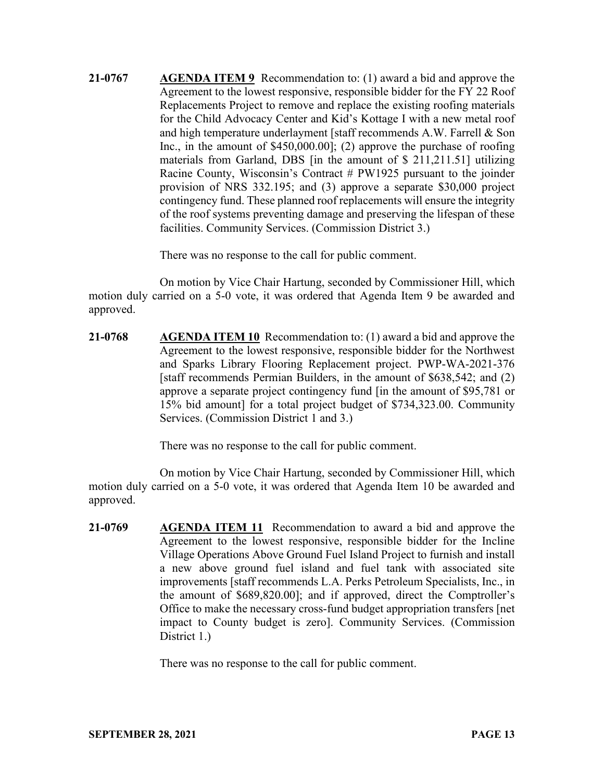**21-0767 AGENDA ITEM 9** Recommendation to: (1) award a bid and approve the Agreement to the lowest responsive, responsible bidder for the FY 22 Roof Replacements Project to remove and replace the existing roofing materials for the Child Advocacy Center and Kid's Kottage I with a new metal roof and high temperature underlayment [staff recommends A.W. Farrell & Son Inc., in the amount of \$450,000.00]; (2) approve the purchase of roofing materials from Garland, DBS [in the amount of \$ 211,211.51] utilizing Racine County, Wisconsin's Contract # PW1925 pursuant to the joinder provision of NRS 332.195; and (3) approve a separate \$30,000 project contingency fund. These planned roof replacements will ensure the integrity of the roof systems preventing damage and preserving the lifespan of these facilities. Community Services. (Commission District 3.)

There was no response to the call for public comment.

On motion by Vice Chair Hartung, seconded by Commissioner Hill, which motion duly carried on a 5-0 vote, it was ordered that Agenda Item 9 be awarded and approved.

**21-0768 AGENDA ITEM 10** Recommendation to: (1) award a bid and approve the Agreement to the lowest responsive, responsible bidder for the Northwest and Sparks Library Flooring Replacement project. PWP-WA-2021-376 [staff recommends Permian Builders, in the amount of \$638,542; and (2) approve a separate project contingency fund [in the amount of \$95,781 or 15% bid amount] for a total project budget of \$734,323.00. Community Services. (Commission District 1 and 3.)

There was no response to the call for public comment.

On motion by Vice Chair Hartung, seconded by Commissioner Hill, which motion duly carried on a 5-0 vote, it was ordered that Agenda Item 10 be awarded and approved.

**21-0769 AGENDA ITEM 11** Recommendation to award a bid and approve the Agreement to the lowest responsive, responsible bidder for the Incline Village Operations Above Ground Fuel Island Project to furnish and install a new above ground fuel island and fuel tank with associated site improvements [staff recommends L.A. Perks Petroleum Specialists, Inc., in the amount of \$689,820.00]; and if approved, direct the Comptroller's Office to make the necessary cross-fund budget appropriation transfers [net impact to County budget is zero]. Community Services. (Commission District 1.)

There was no response to the call for public comment.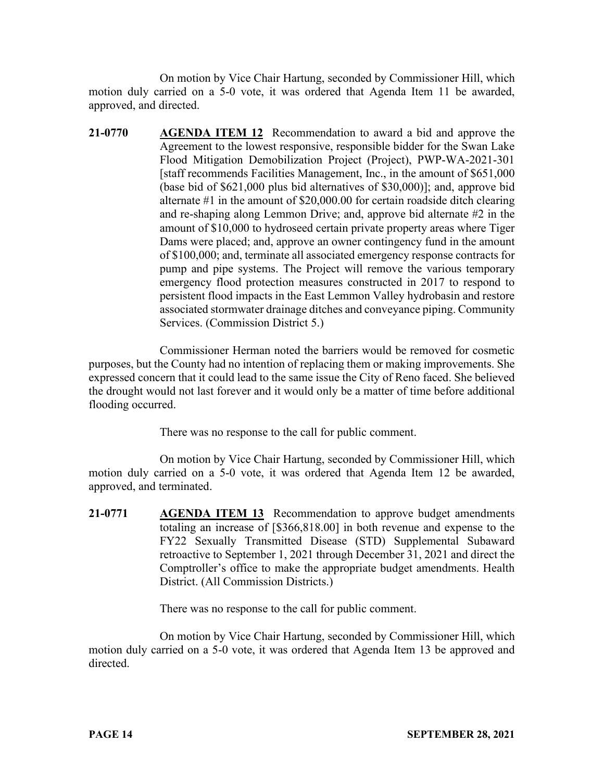On motion by Vice Chair Hartung, seconded by Commissioner Hill, which motion duly carried on a 5-0 vote, it was ordered that Agenda Item 11 be awarded, approved, and directed.

**21-0770 AGENDA ITEM 12** Recommendation to award a bid and approve the Agreement to the lowest responsive, responsible bidder for the Swan Lake Flood Mitigation Demobilization Project (Project), PWP-WA-2021-301 [staff recommends Facilities Management, Inc., in the amount of \$651,000 (base bid of \$621,000 plus bid alternatives of \$30,000)]; and, approve bid alternate #1 in the amount of \$20,000.00 for certain roadside ditch clearing and re-shaping along Lemmon Drive; and, approve bid alternate #2 in the amount of \$10,000 to hydroseed certain private property areas where Tiger Dams were placed; and, approve an owner contingency fund in the amount of \$100,000; and, terminate all associated emergency response contracts for pump and pipe systems. The Project will remove the various temporary emergency flood protection measures constructed in 2017 to respond to persistent flood impacts in the East Lemmon Valley hydrobasin and restore associated stormwater drainage ditches and conveyance piping. Community Services. (Commission District 5.)

Commissioner Herman noted the barriers would be removed for cosmetic purposes, but the County had no intention of replacing them or making improvements. She expressed concern that it could lead to the same issue the City of Reno faced. She believed the drought would not last forever and it would only be a matter of time before additional flooding occurred.

There was no response to the call for public comment.

On motion by Vice Chair Hartung, seconded by Commissioner Hill, which motion duly carried on a 5-0 vote, it was ordered that Agenda Item 12 be awarded, approved, and terminated.

**21-0771 AGENDA ITEM 13** Recommendation to approve budget amendments totaling an increase of [\$366,818.00] in both revenue and expense to the FY22 Sexually Transmitted Disease (STD) Supplemental Subaward retroactive to September 1, 2021 through December 31, 2021 and direct the Comptroller's office to make the appropriate budget amendments. Health District. (All Commission Districts.)

There was no response to the call for public comment.

On motion by Vice Chair Hartung, seconded by Commissioner Hill, which motion duly carried on a 5-0 vote, it was ordered that Agenda Item 13 be approved and directed.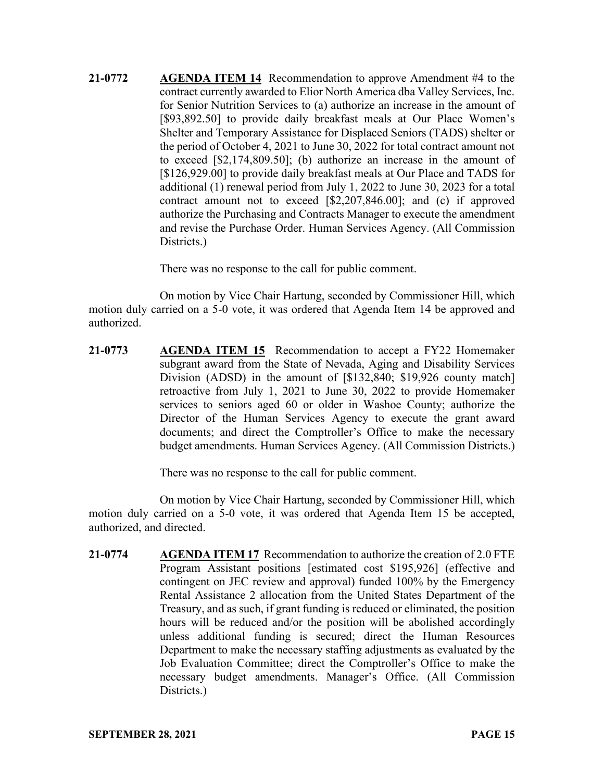**21-0772 AGENDA ITEM 14** Recommendation to approve Amendment #4 to the contract currently awarded to Elior North America dba Valley Services, Inc. for Senior Nutrition Services to (a) authorize an increase in the amount of [\$93,892.50] to provide daily breakfast meals at Our Place Women's Shelter and Temporary Assistance for Displaced Seniors (TADS) shelter or the period of October 4, 2021 to June 30, 2022 for total contract amount not to exceed [\$2,174,809.50]; (b) authorize an increase in the amount of [\$126,929.00] to provide daily breakfast meals at Our Place and TADS for additional (1) renewal period from July 1, 2022 to June 30, 2023 for a total contract amount not to exceed [\$2,207,846.00]; and (c) if approved authorize the Purchasing and Contracts Manager to execute the amendment and revise the Purchase Order. Human Services Agency. (All Commission Districts.)

There was no response to the call for public comment.

On motion by Vice Chair Hartung, seconded by Commissioner Hill, which motion duly carried on a 5-0 vote, it was ordered that Agenda Item 14 be approved and authorized.

**21-0773 AGENDA ITEM 15** Recommendation to accept a FY22 Homemaker subgrant award from the State of Nevada, Aging and Disability Services Division (ADSD) in the amount of [\$132,840; \$19,926 county match] retroactive from July 1, 2021 to June 30, 2022 to provide Homemaker services to seniors aged 60 or older in Washoe County; authorize the Director of the Human Services Agency to execute the grant award documents; and direct the Comptroller's Office to make the necessary budget amendments. Human Services Agency. (All Commission Districts.)

There was no response to the call for public comment.

On motion by Vice Chair Hartung, seconded by Commissioner Hill, which motion duly carried on a 5-0 vote, it was ordered that Agenda Item 15 be accepted, authorized, and directed.

**21-0774 AGENDA ITEM 17** Recommendation to authorize the creation of 2.0 FTE Program Assistant positions [estimated cost \$195,926] (effective and contingent on JEC review and approval) funded 100% by the Emergency Rental Assistance 2 allocation from the United States Department of the Treasury, and as such, if grant funding is reduced or eliminated, the position hours will be reduced and/or the position will be abolished accordingly unless additional funding is secured; direct the Human Resources Department to make the necessary staffing adjustments as evaluated by the Job Evaluation Committee; direct the Comptroller's Office to make the necessary budget amendments. Manager's Office. (All Commission Districts.)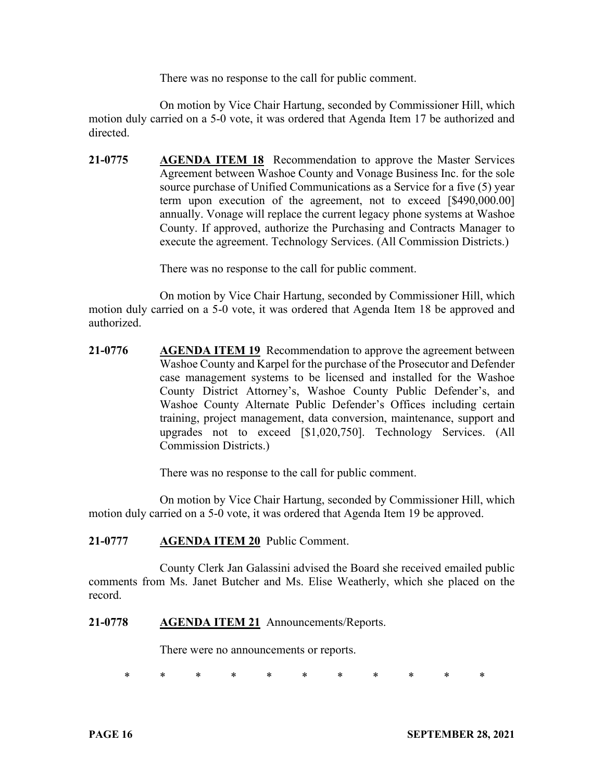There was no response to the call for public comment.

On motion by Vice Chair Hartung, seconded by Commissioner Hill, which motion duly carried on a 5-0 vote, it was ordered that Agenda Item 17 be authorized and directed.

**21-0775 AGENDA ITEM 18** Recommendation to approve the Master Services Agreement between Washoe County and Vonage Business Inc. for the sole source purchase of Unified Communications as a Service for a five (5) year term upon execution of the agreement, not to exceed [\$490,000.00] annually. Vonage will replace the current legacy phone systems at Washoe County. If approved, authorize the Purchasing and Contracts Manager to execute the agreement. Technology Services. (All Commission Districts.)

There was no response to the call for public comment.

On motion by Vice Chair Hartung, seconded by Commissioner Hill, which motion duly carried on a 5-0 vote, it was ordered that Agenda Item 18 be approved and authorized.

**21-0776 AGENDA ITEM 19** Recommendation to approve the agreement between Washoe County and Karpel for the purchase of the Prosecutor and Defender case management systems to be licensed and installed for the Washoe County District Attorney's, Washoe County Public Defender's, and Washoe County Alternate Public Defender's Offices including certain training, project management, data conversion, maintenance, support and upgrades not to exceed [\$1,020,750]. Technology Services. (All Commission Districts.)

There was no response to the call for public comment.

On motion by Vice Chair Hartung, seconded by Commissioner Hill, which motion duly carried on a 5-0 vote, it was ordered that Agenda Item 19 be approved.

### **21-0777 AGENDA ITEM 20** Public Comment.

County Clerk Jan Galassini advised the Board she received emailed public comments from Ms. Janet Butcher and Ms. Elise Weatherly, which she placed on the record.

### **21-0778 AGENDA ITEM 21** Announcements/Reports.

There were no announcements or reports.

\* \* \* \* \* \* \* \* \* \* \*